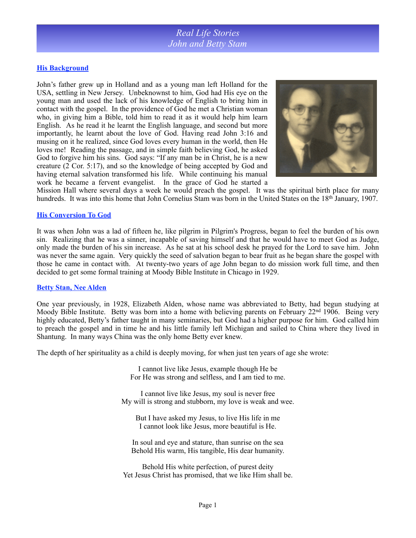### **His Background**

John's father grew up in Holland and as a young man left Holland for the USA, settling in New Jersey. Unbeknownst to him, God had His eye on the young man and used the lack of his knowledge of English to bring him in contact with the gospel. In the providence of God he met a Christian woman who, in giving him a Bible, told him to read it as it would help him learn English. As he read it he learnt the English language, and second but more importantly, he learnt about the love of God. Having read John 3:16 and musing on it he realized, since God loves every human in the world, then He loves me! Reading the passage, and in simple faith believing God, he asked God to forgive him his sins. God says: "If any man be in Christ, he is a new creature (2 Cor. 5:17), and so the knowledge of being accepted by God and having eternal salvation transformed his life. While continuing his manual work he became a fervent evangelist. In the grace of God he started a



Mission Hall where several days a week he would preach the gospel. It was the spiritual birth place for many hundreds. It was into this home that John Cornelius Stam was born in the United States on the 18<sup>th</sup> January, 1907.

#### **His Conversion To God**

It was when John was a lad of fifteen he, like pilgrim in Pilgrim's Progress, began to feel the burden of his own sin. Realizing that he was a sinner, incapable of saving himself and that he would have to meet God as Judge, only made the burden of his sin increase. As he sat at his school desk he prayed for the Lord to save him. John was never the same again. Very quickly the seed of salvation began to bear fruit as he began share the gospel with those he came in contact with. At twenty-two years of age John began to do mission work full time, and then decided to get some formal training at Moody Bible Institute in Chicago in 1929.

#### **Betty Stan, Nee Alden**

One year previously, in 1928, Elizabeth Alden, whose name was abbreviated to Betty, had begun studying at Moody Bible Institute. Betty was born into a home with believing parents on February  $22<sup>nd</sup> 1906$ . Being very highly educated, Betty's father taught in many seminaries, but God had a higher purpose for him. God called him to preach the gospel and in time he and his little family left Michigan and sailed to China where they lived in Shantung. In many ways China was the only home Betty ever knew.

The depth of her spirituality as a child is deeply moving, for when just ten years of age she wrote:

I cannot live like Jesus, example though He be For He was strong and selfless, and I am tied to me.

I cannot live like Jesus, my soul is never free My will is strong and stubborn, my love is weak and wee.

But I have asked my Jesus, to live His life in me I cannot look like Jesus, more beautiful is He.

In soul and eye and stature, than sunrise on the sea Behold His warm, His tangible, His dear humanity.

Behold His white perfection, of purest deity Yet Jesus Christ has promised, that we like Him shall be.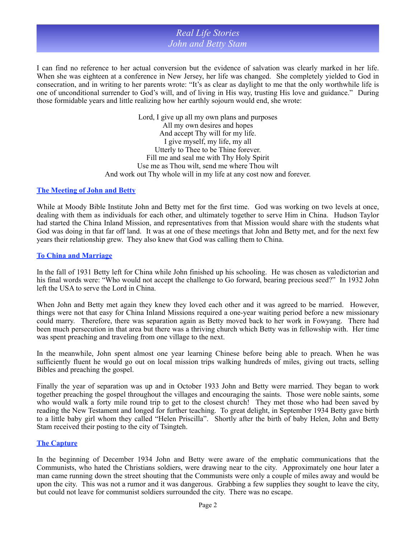I can find no reference to her actual conversion but the evidence of salvation was clearly marked in her life. When she was eighteen at a conference in New Jersey, her life was changed. She completely yielded to God in consecration, and in writing to her parents wrote: "It's as clear as daylight to me that the only worthwhile life is one of unconditional surrender to God's will, and of living in His way, trusting His love and guidance." During those formidable years and little realizing how her earthly sojourn would end, she wrote:

> Lord, I give up all my own plans and purposes All my own desires and hopes And accept Thy will for my life. I give myself, my life, my all Utterly to Thee to be Thine forever. Fill me and seal me with Thy Holy Spirit Use me as Thou wilt, send me where Thou wilt And work out Thy whole will in my life at any cost now and forever.

#### **The Meeting of John and Betty**

While at Moody Bible Institute John and Betty met for the first time. God was working on two levels at once, dealing with them as individuals for each other, and ultimately together to serve Him in China. Hudson Taylor had started the China Inland Mission, and representatives from that Mission would share with the students what God was doing in that far off land. It was at one of these meetings that John and Betty met, and for the next few years their relationship grew. They also knew that God was calling them to China.

#### **To China and Marriage**

In the fall of 1931 Betty left for China while John finished up his schooling. He was chosen as valedictorian and his final words were: "Who would not accept the challenge to Go forward, bearing precious seed?" In 1932 John left the USA to serve the Lord in China.

When John and Betty met again they knew they loved each other and it was agreed to be married. However, things were not that easy for China Inland Missions required a one-year waiting period before a new missionary could marry. Therefore, there was separation again as Betty moved back to her work in Fowyang. There had been much persecution in that area but there was a thriving church which Betty was in fellowship with. Her time was spent preaching and traveling from one village to the next.

In the meanwhile, John spent almost one year learning Chinese before being able to preach. When he was sufficiently fluent he would go out on local mission trips walking hundreds of miles, giving out tracts, selling Bibles and preaching the gospel.

Finally the year of separation was up and in October 1933 John and Betty were married. They began to work together preaching the gospel throughout the villages and encouraging the saints. Those were noble saints, some who would walk a forty mile round trip to get to the closest church! They met those who had been saved by reading the New Testament and longed for further teaching. To great delight, in September 1934 Betty gave birth to a little baby girl whom they called "Helen Priscilla". Shortly after the birth of baby Helen, John and Betty Stam received their posting to the city of Tsingteh.

### **The Capture**

In the beginning of December 1934 John and Betty were aware of the emphatic communications that the Communists, who hated the Christians soldiers, were drawing near to the city. Approximately one hour later a man came running down the street shouting that the Communists were only a couple of miles away and would be upon the city. This was not a rumor and it was dangerous. Grabbing a few supplies they sought to leave the city, but could not leave for communist soldiers surrounded the city. There was no escape.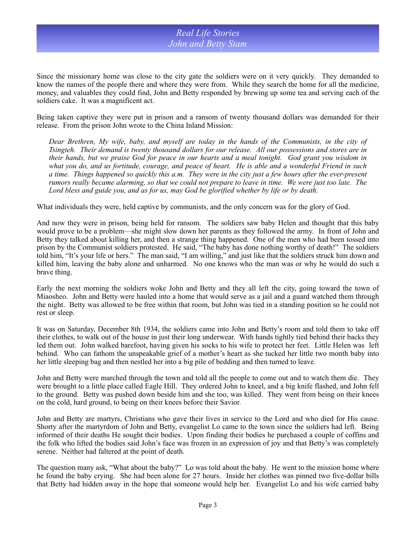Since the missionary home was close to the city gate the soldiers were on it very quickly. They demanded to know the names of the people there and where they were from. While they search the home for all the medicine, money, and valuables they could find, John and Betty responded by brewing up some tea and serving each of the soldiers cake. It was a magnificent act.

Being taken captive they were put in prison and a ransom of twenty thousand dollars was demanded for their release. From the prison John wrote to the China Inland Mission:

*Dear Brethren, My wife, baby, and myself are today in the hands of the Communists, in the city of Tsingteh. Their demand is twenty thousand dollars for our release. All our possessions and stores are in their hands, but we praise God for peace in our hearts and a meal tonight. God grant you wisdom in what you do, and us fortitude, courage, and peace of heart. He is able and a wonderful Friend in such a time. Things happened so quickly this a.m. They were in the city just a few hours after the ever-present rumors really became alarming, so that we could not prepare to leave in time. We were just too late. The Lord bless and guide you, and as for us, may God be glorified whether by life or by death.* 

What individuals they were, held captive by communists, and the only concern was for the glory of God.

And now they were in prison, being held for ransom. The soldiers saw baby Helen and thought that this baby would prove to be a problem—she might slow down her parents as they followed the army. In front of John and Betty they talked about killing her, and then a strange thing happened. One of the men who had been tossed into prison by the Communist soldiers protested. He said, "The baby has done nothing worthy of death!" The soldiers told him, "It's your life or hers." The man said, "I am willing," and just like that the soldiers struck him down and killed him, leaving the baby alone and unharmed. No one knows who the man was or why he would do such a brave thing.

Early the next morning the soldiers woke John and Betty and they all left the city, going toward the town of Miaosheo. John and Betty were hauled into a home that would serve as a jail and a guard watched them through the night. Betty was allowed to be free within that room, but John was tied in a standing position so he could not rest or sleep.

It was on Saturday, December 8th 1934, the soldiers came into John and Betty's room and told them to take off their clothes, to walk out of the house in just their long underwear. With hands tightly tied behind their backs they led them out. John walked barefoot, having given his socks to his wife to protect her feet. Little Helen was left behind. Who can fathom the unspeakable grief of a mother's heart as she tucked her little two month baby into her little sleeping bag and then nestled her into a big pile of bedding and then turned to leave.

John and Betty were marched through the town and told all the people to come out and to watch them die. They were brought to a little place called Eagle Hill. They ordered John to kneel, and a big knife flashed, and John fell to the ground. Betty was pushed down beside him and she too, was killed. They went from being on their knees on the cold, hard ground, to being on their knees before their Savior.

John and Betty are martyrs, Christians who gave their lives in service to the Lord and who died for His cause. Shorty after the martyrdom of John and Betty, evangelist Lo came to the town since the soldiers had left. Being informed of their deaths He sought their bodies. Upon finding their bodies he purchased a couple of coffins and the folk who lifted the bodies said John's face was frozen in an expression of joy and that Betty's was completely serene. Neither had faltered at the point of death.

The question many ask, "What about the baby?" Lo was told about the baby. He went to the mission home where he found the baby crying. She had been alone for 27 hours. Inside her clothes was pinned two five-dollar bills that Betty had hidden away in the hope that someone would help her. Evangelist Lo and his wife carried baby